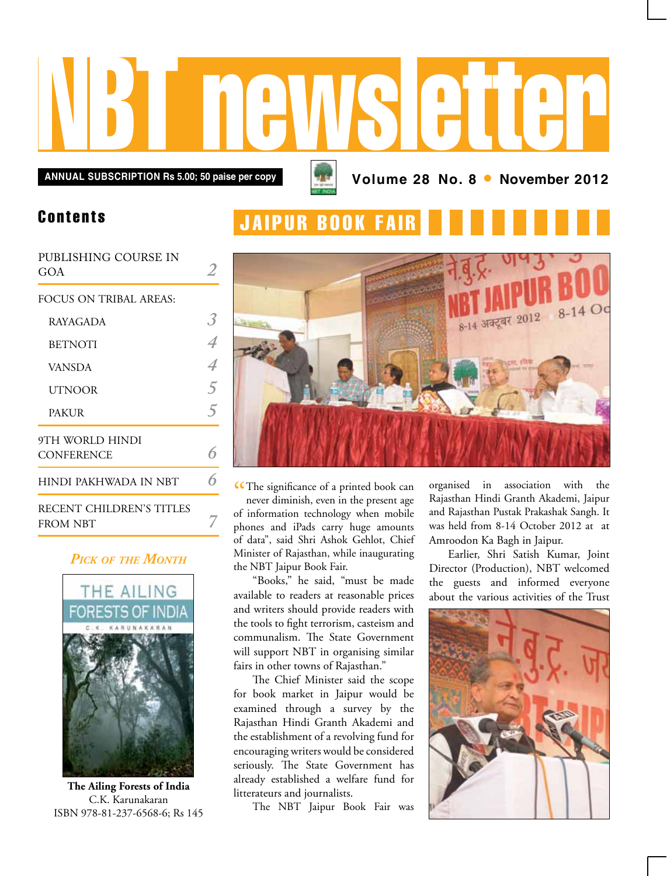# NBT newsletter

**ANNUAL SUBSCRIPTION Rs 5.00; 50 paise per copy <b>Annual Strutter 2012 Volume 28 No. 8 •** November 2012

## Contents

| PUBLISHING COURSE IN<br>GOA          |  |
|--------------------------------------|--|
| FOCUS ON TRIBAL AREAS:               |  |
| RAYAGADA                             |  |
| <b>BETNOTI</b>                       |  |
| <b>VANSDA</b>                        |  |
| UTNOOR                               |  |
| <b>PAKUR</b>                         |  |
| 9TH WORLD HINDI<br><b>CONFERENCE</b> |  |
| HINDI PAKHWADA IN NBT                |  |
| RECENT CHILDREN'S TITLES<br>FROM NBT |  |

## *Pick of the Month*



**The Ailing Forests of India** C.K. Karunakaran ISBN 978-81-237-6568-6; Rs 145





CCThe significance of a printed book can<br>never diminish, even in the present age never diminish, even in the present age of information technology when mobile phones and iPads carry huge amounts of data", said Shri Ashok Gehlot, Chief Minister of Rajasthan, while inaugurating the NBT Jaipur Book Fair.

"Books," he said, "must be made available to readers at reasonable prices and writers should provide readers with the tools to fight terrorism, casteism and communalism. The State Government will support NBT in organising similar fairs in other towns of Rajasthan."

The Chief Minister said the scope for book market in Jaipur would be examined through a survey by the Rajasthan Hindi Granth Akademi and the establishment of a revolving fund for encouraging writers would be considered seriously. The State Government has already established a welfare fund for litterateurs and journalists.

The NBT Jaipur Book Fair was

organised in association with the Rajasthan Hindi Granth Akademi, Jaipur and Rajasthan Pustak Prakashak Sangh. It was held from 8-14 October 2012 at at Amroodon Ka Bagh in Jaipur.

Earlier, Shri Satish Kumar, Joint Director (Production), NBT welcomed the guests and informed everyone about the various activities of the Trust

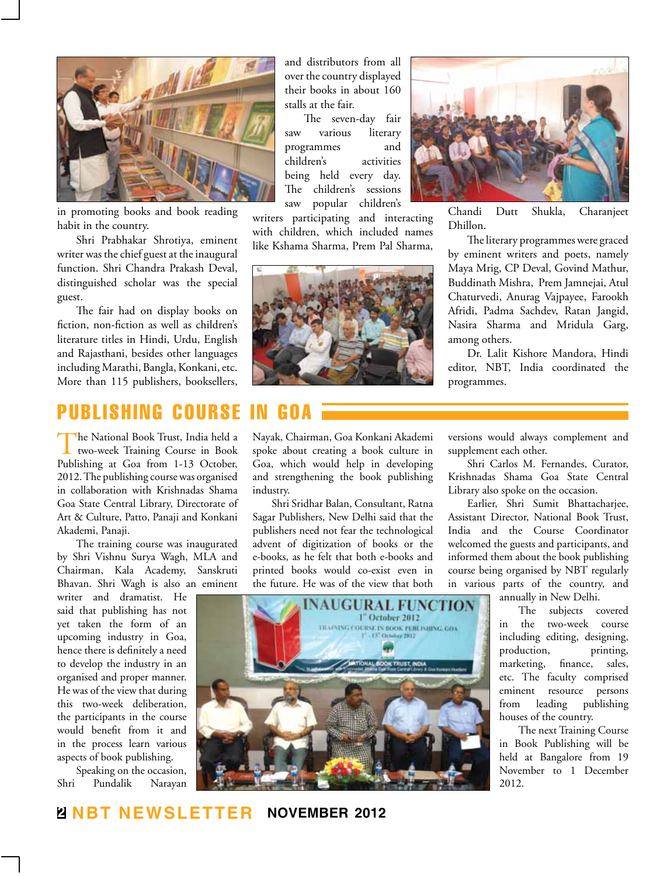

in promoting books and book reading habit in the country.

Shri Prabhakar Shrotiya, eminent writer was the chief guest at the inaugural function. Shri Chandra Prakash Deval, distinguished scholar was the special guest.

The fair had on display books on fiction, non-fiction as well as children's literature titles in Hindi, Urdu, English and Rajasthani, besides other languages including Marathi, Bangla, Konkani, etc. More than 115 publishers, booksellers,

#### and distributors from all over the country displayed their books in about 160 stalls at the fair.

The seven-day fair saw various literary programmes and children's activities being held every day. The children's sessions saw popular children's

writers participating and interacting with children, which included names like Kshama Sharma, Prem Pal Sharma,



Chandi Dutt Shukla, Charanjeet Dhillon.

The literary programmes were graced by eminent writers and poets, namely Maya Mrig, CP Deval, Govind Mathur, Buddinath Mishra, Prem Jamnejai, Atul Chaturvedi, Anurag Vajpayee, Farookh Afridi, Padma Sachdev, Ratan Jangid, Nasira Sharma and Mridula Garg, among others.

Dr. Lalit Kishore Mandora, Hindi editor, NBT, India coordinated the programmes.

# publishing course in goa

The National Book Trust, India held a two-week Training Course in Book Publishing at Goa from 1-13 October, 2012. The publishing course was organised in collaboration with Krishnadas Shama Goa State Central Library, Directorate of Art & Culture, Patto, Panaji and Konkani Akademi, Panaji.

The training course was inaugurated by Shri Vishnu Surya Wagh, MLA and Chairman, Kala Academy, Sanskruti Bhavan. Shri Wagh is also an eminent

writer and dramatist. He said that publishing has not yet taken the form of an upcoming industry in Goa, hence there is definitely a need to develop the industry in an organised and proper manner. He was of the view that during this two-week deliberation, the participants in the course would benefit from it and in the process learn various aspects of book publishing.

Speaking on the occasion, Shri Pundalik Narayan Nayak, Chairman, Goa Konkani Akademi spoke about creating a book culture in Goa, which would help in developing and strengthening the book publishing industry.

Shri Sridhar Balan, Consultant, Ratna Sagar Publishers, New Delhi said that the publishers need not fear the technological advent of digitization of books or the e-books, as he felt that both e-books and printed books would co-exist even in the future. He was of the view that both

versions would always complement and supplement each other.

Shri Carlos M. Fernandes, Curator, Krishnadas Shama Goa State Central Library also spoke on the occasion.

Earlier, Shri Sumit Bhattacharjee, Assistant Director, National Book Trust, India and the Course Coordinator welcomed the guests and participants, and informed them about the book publishing course being organised by NBT regularly in various parts of the country, and annually in New Delhi.



The subjects covered in the two-week course including editing, designing, production, printing, marketing, finance, sales, etc. The faculty comprised eminent resource persons from leading publishing houses of the country.

The next Training Course in Book Publishing will be held at Bangalore from 19 November to 1 December 2012.

**2 NBT Newsletter november 2012**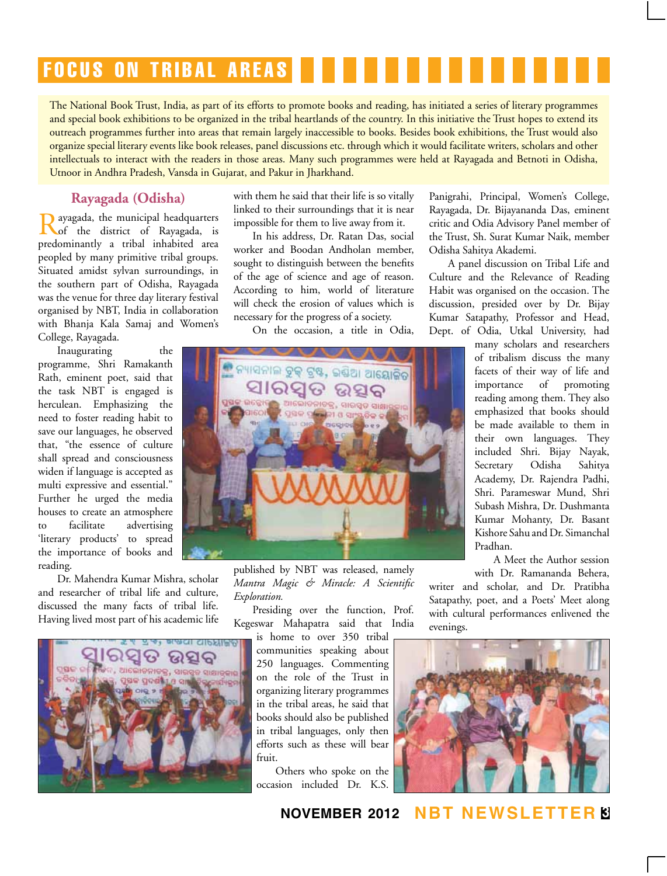# **FOCUS ON TRIBAL AREAS**

The National Book Trust, India, as part of its efforts to promote books and reading, has initiated a series of literary programmes and special book exhibitions to be organized in the tribal heartlands of the country. In this initiative the Trust hopes to extend its outreach programmes further into areas that remain largely inaccessible to books. Besides book exhibitions, the Trust would also organize special literary events like book releases, panel discussions etc. through which it would facilitate writers, scholars and other intellectuals to interact with the readers in those areas. Many such programmes were held at Rayagada and Betnoti in Odisha, Utnoor in Andhra Pradesh, Vansda in Gujarat, and Pakur in Jharkhand.

## **Rayagada (Odisha)**

Rayagada, the municipal headquarters of the district of Rayagada, is predominantly a tribal inhabited area peopled by many primitive tribal groups. Situated amidst sylvan surroundings, in the southern part of Odisha, Rayagada was the venue for three day literary festival organised by NBT, India in collaboration with Bhanja Kala Samaj and Women's College, Rayagada.

Inaugurating the programme, Shri Ramakanth Rath, eminent poet, said that the task NBT is engaged is herculean. Emphasizing the need to foster reading habit to save our languages, he observed that, "the essence of culture shall spread and consciousness widen if language is accepted as multi expressive and essential." Further he urged the media houses to create an atmosphere to facilitate advertising 'literary products' to spread the importance of books and reading.

Dr. Mahendra Kumar Mishra, scholar and researcher of tribal life and culture, discussed the many facts of tribal life. Having lived most part of his academic life



with them he said that their life is so vitally linked to their surroundings that it is near impossible for them to live away from it.

In his address, Dr. Ratan Das, social worker and Boodan Andholan member, sought to distinguish between the benefits of the age of science and age of reason. According to him, world of literature will check the erosion of values which is necessary for the progress of a society.

On the occasion, a title in Odia,



published by NBT was released, namely *Mantra Magic & Miracle: A Scientific Exploration.*

Presiding over the function, Prof. Kegeswar Mahapatra said that India

is home to over 350 tribal communities speaking about 250 languages. Commenting on the role of the Trust in organizing literary programmes in the tribal areas, he said that books should also be published in tribal languages, only then efforts such as these will bear fruit.

Others who spoke on the occasion included Dr. K.S.

Panigrahi, Principal, Women's College, Rayagada, Dr. Bijayananda Das, eminent critic and Odia Advisory Panel member of the Trust, Sh. Surat Kumar Naik, member Odisha Sahitya Akademi.

A panel discussion on Tribal Life and Culture and the Relevance of Reading Habit was organised on the occasion. The discussion, presided over by Dr. Bijay Kumar Satapathy, Professor and Head, Dept. of Odia, Utkal University, had

many scholars and researchers of tribalism discuss the many facets of their way of life and importance of promoting reading among them. They also emphasized that books should be made available to them in their own languages. They included Shri. Bijay Nayak, Secretary Odisha Sahitya Academy, Dr. Rajendra Padhi, Shri. Parameswar Mund, Shri Subash Mishra, Dr. Dushmanta Kumar Mohanty, Dr. Basant Kishore Sahu and Dr. Simanchal Pradhan.

A Meet the Author session with Dr. Ramananda Behera,

writer and scholar, and Dr. Pratibha Satapathy, poet, and a Poets' Meet along with cultural performances enlivened the evenings.



**november 2012 NBT Newsletter 3**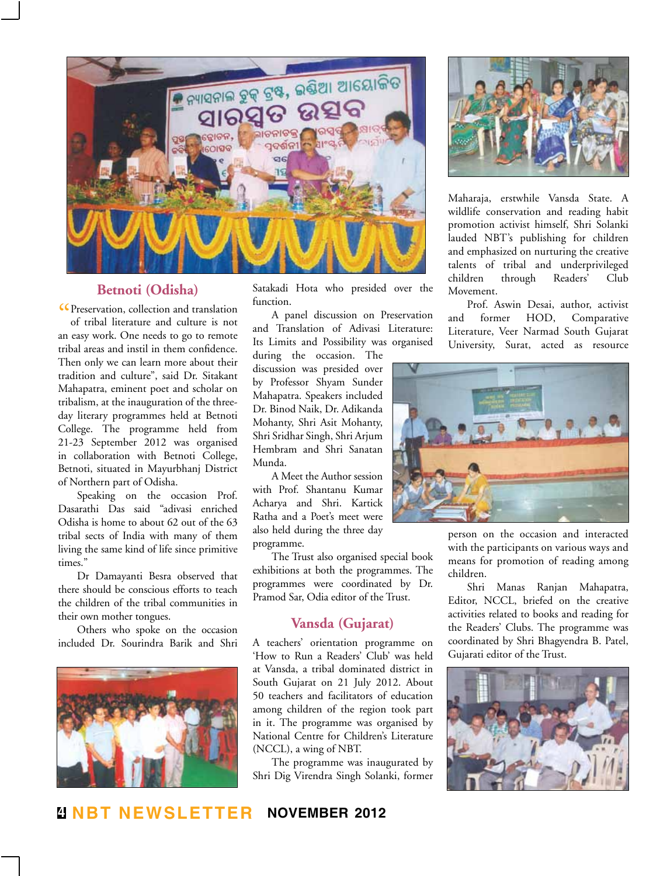

## **Betnoti (Odisha)**

CPreservation, collection and translation<br>of tribal literature and culture is not of tribal literature and culture is not an easy work. One needs to go to remote tribal areas and instil in them confidence. Then only we can learn more about their tradition and culture", said Dr. Sitakant Mahapatra, eminent poet and scholar on tribalism, at the inauguration of the threeday literary programmes held at Betnoti College. The programme held from 21-23 September 2012 was organised in collaboration with Betnoti College, Betnoti, situated in Mayurbhanj District of Northern part of Odisha.

Speaking on the occasion Prof. Dasarathi Das said "adivasi enriched Odisha is home to about 62 out of the 63 tribal sects of India with many of them living the same kind of life since primitive times."

Dr Damayanti Besra observed that there should be conscious efforts to teach the children of the tribal communities in their own mother tongues.

Others who spoke on the occasion included Dr. Sourindra Barik and Shri



Satakadi Hota who presided over the function.

A panel discussion on Preservation and Translation of Adivasi Literature: Its Limits and Possibility was organised

during the occasion. The discussion was presided over by Professor Shyam Sunder Mahapatra. Speakers included Dr. Binod Naik, Dr. Adikanda Mohanty, Shri Asit Mohanty, Shri Sridhar Singh, Shri Arjum Hembram and Shri Sanatan Munda.

A Meet the Author session with Prof. Shantanu Kumar Acharya and Shri. Kartick Ratha and a Poet's meet were also held during the three day programme.

The Trust also organised special book exhibitions at both the programmes. The programmes were coordinated by Dr. Pramod Sar, Odia editor of the Trust.

## **Vansda (Gujarat)**

A teachers' orientation programme on 'How to Run a Readers' Club' was held at Vansda, a tribal dominated district in South Gujarat on 21 July 2012. About 50 teachers and facilitators of education among children of the region took part in it. The programme was organised by National Centre for Children's Literature (NCCL), a wing of NBT.

The programme was inaugurated by Shri Dig Virendra Singh Solanki, former



Maharaja, erstwhile Vansda State. A wildlife conservation and reading habit promotion activist himself, Shri Solanki lauded NBT's publishing for children and emphasized on nurturing the creative talents of tribal and underprivileged children through Readers' Club Movement.

Prof. Aswin Desai, author, activist and former HOD, Comparative Literature, Veer Narmad South Gujarat University, Surat, acted as resource



person on the occasion and interacted with the participants on various ways and means for promotion of reading among children.

Shri Manas Ranjan Mahapatra, Editor, NCCL, briefed on the creative activities related to books and reading for the Readers' Clubs. The programme was coordinated by Shri Bhagyendra B. Patel, Gujarati editor of the Trust.



**4 NBT Newsletter november 2012**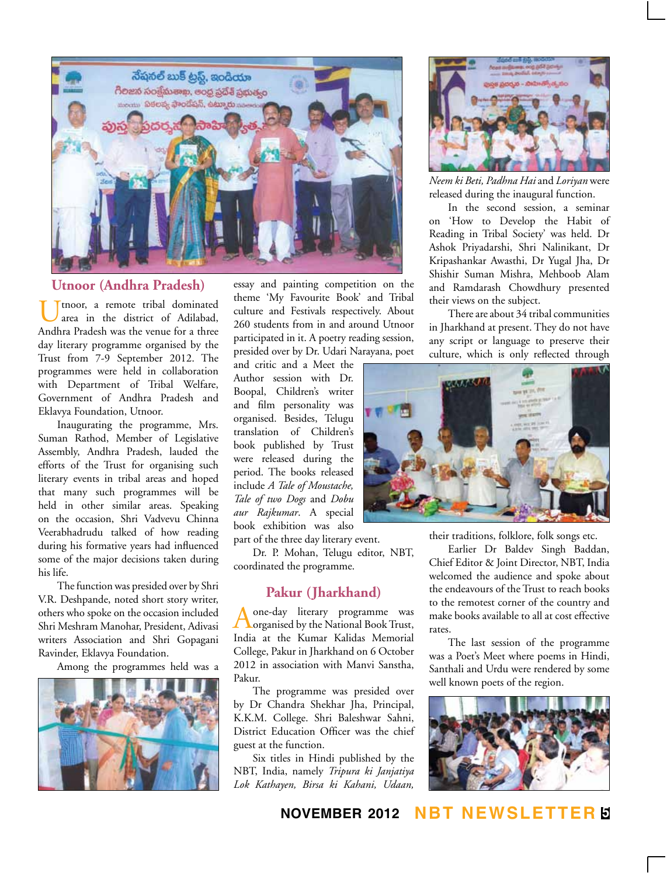

## **Utnoor (Andhra Pradesh)**

Utnoor, a remote tribal dominated<br>area in the district of Adilabad, Andhra Pradesh was the venue for a three day literary programme organised by the Trust from 7-9 September 2012. The programmes were held in collaboration with Department of Tribal Welfare, Government of Andhra Pradesh and Eklavya Foundation, Utnoor.

Inaugurating the programme, Mrs. Suman Rathod, Member of Legislative Assembly, Andhra Pradesh, lauded the efforts of the Trust for organising such literary events in tribal areas and hoped that many such programmes will be held in other similar areas. Speaking on the occasion, Shri Vadvevu Chinna Veerabhadrudu talked of how reading during his formative years had influenced some of the major decisions taken during his life.

The function was presided over by Shri V.R. Deshpande, noted short story writer, others who spoke on the occasion included Shri Meshram Manohar, President, Adivasi writers Association and Shri Gopagani Ravinder, Eklavya Foundation.

Among the programmes held was a



essay and painting competition on the theme 'My Favourite Book' and Tribal culture and Festivals respectively. About 260 students from in and around Utnoor participated in it. A poetry reading session, presided over by Dr. Udari Narayana, poet

and critic and a Meet the Author session with Dr. Boopal, Children's writer and film personality was organised. Besides, Telugu translation of Children's book published by Trust were released during the period. The books released include *A Tale of Moustache, Tale of two Dogs* and *Dobu aur Rajkumar*. A special book exhibition was also part of the three day literary event.

Dr. P. Mohan, Telugu editor, NBT, coordinated the programme.

### **Pakur (Jharkhand)**

Aone-day literary programme was organised by the National Book Trust, India at the Kumar Kalidas Memorial College, Pakur in Jharkhand on 6 October 2012 in association with Manvi Sanstha, Pakur.

The programme was presided over by Dr Chandra Shekhar Jha, Principal, K.K.M. College. Shri Baleshwar Sahni, District Education Officer was the chief guest at the function.

Six titles in Hindi published by the NBT, India, namely *Tripura ki Janjatiya Lok Kathayen, Birsa ki Kahani, Udaan,* 



*Neem ki Beti, Padhna Hai* and *Loriyan* were released during the inaugural function.

In the second session, a seminar on 'How to Develop the Habit of Reading in Tribal Society' was held. Dr Ashok Priyadarshi, Shri Nalinikant, Dr Kripashankar Awasthi, Dr Yugal Jha, Dr Shishir Suman Mishra, Mehboob Alam and Ramdarash Chowdhury presented their views on the subject.

There are about 34 tribal communities in Jharkhand at present. They do not have any script or language to preserve their culture, which is only reflected through



their traditions, folklore, folk songs etc.

Earlier Dr Baldev Singh Baddan, Chief Editor & Joint Director, NBT, India welcomed the audience and spoke about the endeavours of the Trust to reach books to the remotest corner of the country and make books available to all at cost effective rates.

The last session of the programme was a Poet's Meet where poems in Hindi, Santhali and Urdu were rendered by some well known poets of the region.



**november 2012 NBT Newsletter 5**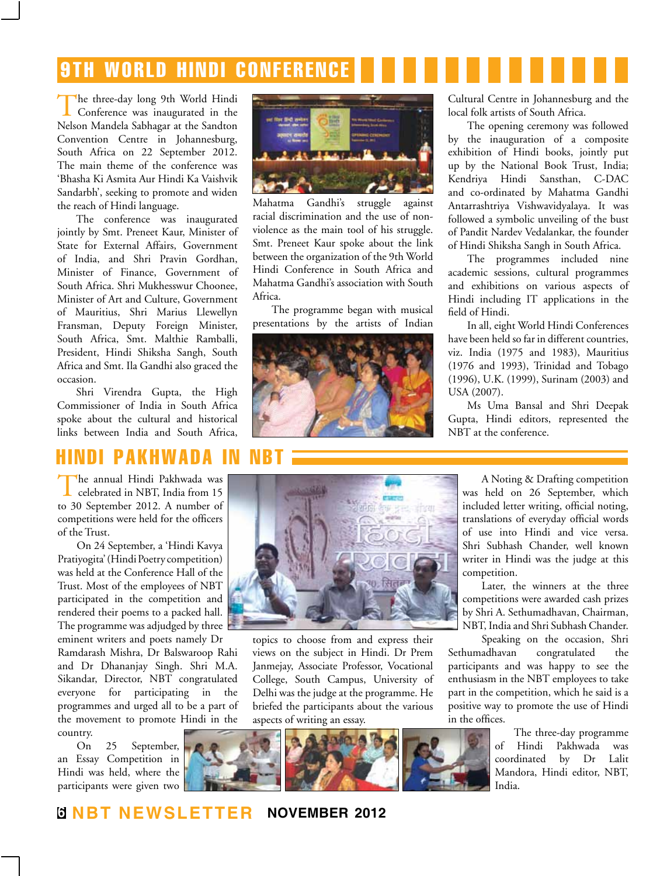# 9th world hindi conference

The three-day long 9th World Hindi Conference was inaugurated in the Nelson Mandela Sabhagar at the Sandton Convention Centre in Johannesburg, South Africa on 22 September 2012. The main theme of the conference was 'Bhasha Ki Asmita Aur Hindi Ka Vaishvik Sandarbh', seeking to promote and widen the reach of Hindi language.

The conference was inaugurated jointly by Smt. Preneet Kaur, Minister of State for External Affairs, Government of India, and Shri Pravin Gordhan, Minister of Finance, Government of South Africa. Shri Mukhesswur Choonee, Minister of Art and Culture, Government of Mauritius, Shri Marius Llewellyn Fransman, Deputy Foreign Minister, South Africa, Smt. Malthie Ramballi, President, Hindi Shiksha Sangh, South Africa and Smt. Ila Gandhi also graced the occasion.

Shri Virendra Gupta, the High Commissioner of India in South Africa spoke about the cultural and historical links between India and South Africa,

## hindi pakhwada i

The annual Hindi Pakhwada was celebrated in NBT, India from 15 to 30 September 2012. A number of competitions were held for the officers of the Trust.

On 24 September, a 'Hindi Kavya Pratiyogita' (Hindi Poetry competition) was held at the Conference Hall of the Trust. Most of the employees of NBT participated in the competition and rendered their poems to a packed hall. The programme was adjudged by three  $\Box$ eminent writers and poets namely Dr

Ramdarash Mishra, Dr Balswaroop Rahi and Dr Dhananjay Singh. Shri M.A. Sikandar, Director, NBT congratulated everyone for participating in the programmes and urged all to be a part of the movement to promote Hindi in the country.

On 25 September, an Essay Competition in Hindi was held, where the participants were given two



Mahatma Gandhi's struggle against racial discrimination and the use of nonviolence as the main tool of his struggle. Smt. Preneet Kaur spoke about the link between the organization of the 9th World Hindi Conference in South Africa and Mahatma Gandhi's association with South Africa.

The programme began with musical presentations by the artists of Indian



Cultural Centre in Johannesburg and the local folk artists of South Africa.

The opening ceremony was followed by the inauguration of a composite exhibition of Hindi books, jointly put up by the National Book Trust, India; Kendriya Hindi Sansthan, C-DAC and co-ordinated by Mahatma Gandhi Antarrashtriya Vishwavidyalaya. It was followed a symbolic unveiling of the bust of Pandit Nardev Vedalankar, the founder of Hindi Shiksha Sangh in South Africa.

The programmes included nine academic sessions, cultural programmes and exhibitions on various aspects of Hindi including IT applications in the field of Hindi.

In all, eight World Hindi Conferences have been held so far in different countries, viz. India (1975 and 1983), Mauritius (1976 and 1993), Trinidad and Tobago (1996), U.K. (1999), Surinam (2003) and USA (2007).

Ms Uma Bansal and Shri Deepak Gupta, Hindi editors, represented the NBT at the conference.



topics to choose from and express their views on the subject in Hindi. Dr Prem Janmejay, Associate Professor, Vocational College, South Campus, University of Delhi was the judge at the programme. He briefed the participants about the various aspects of writing an essay.



A Noting & Drafting competition was held on 26 September, which included letter writing, official noting, translations of everyday official words of use into Hindi and vice versa. Shri Subhash Chander, well known writer in Hindi was the judge at this competition.

Later, the winners at the three competitions were awarded cash prizes by Shri A. Sethumadhavan, Chairman, NBT, India and Shri Subhash Chander.

Speaking on the occasion, Shri Sethumadhavan congratulated the participants and was happy to see the enthusiasm in the NBT employees to take part in the competition, which he said is a positive way to promote the use of Hindi in the offices.

> The three-day programme of Hindi Pakhwada was coordinated by Dr Lalit Mandora, Hindi editor, NBT, India.

## **6 NBT Newsletter november 2012**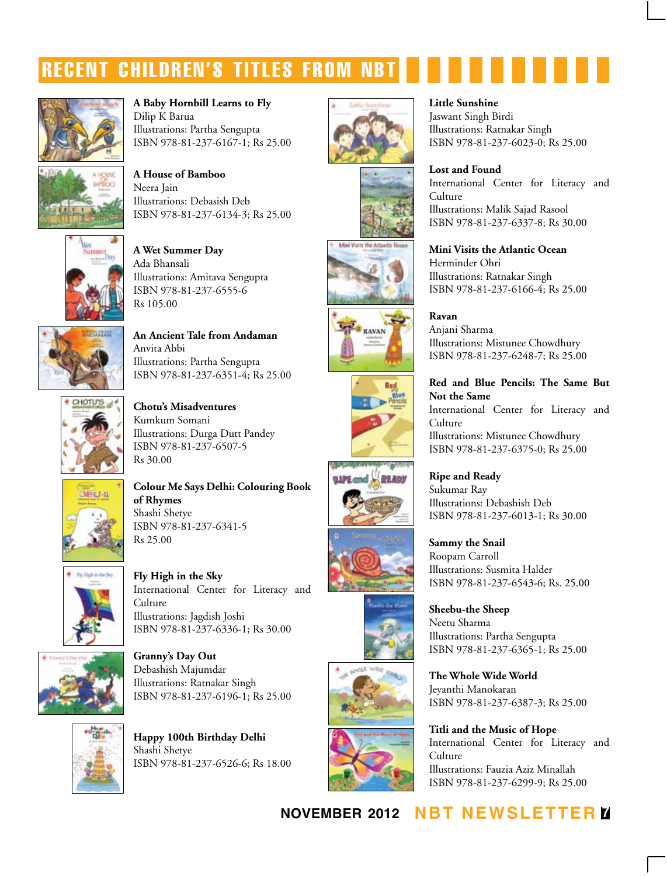# recent children's titles from nbt



**A Baby Hornbill Learns to Fly** Dilip K Barua Illustrations: Partha Sengupta ISBN 978-81-237-6167-1; Rs 25.00



**A House of Bamboo** Neera Jain Illustrations: Debasish Deb ISBN 978-81-237-6134-3; Rs 25.00



**A Wet Summer Day** Ada Bhansali Illustrations: Amitava Sengupta ISBN 978-81-237-6555-6 Rs 105.00



**An Ancient Tale from Andaman** Anvita Abbi Illustrations: Partha Sengupta ISBN 978-81-237-6351-4; Rs 25.00



**Chotu's Misadventures** Kumkum Somani Illustrations: Durga Dutt Pandey ISBN 978-81-237-6507-5 Rs 30.00



**Colour Me Says Delhi: Colouring Book of Rhymes** Shashi Shetye ISBN 978-81-237-6341-5 Rs 25.00



**Fly High in the Sky** International Center for Literacy and **Culture** Illustrations: Jagdish Joshi ISBN 978-81-237-6336-1; Rs 30.00



**Granny's Day Out** Debashish Majumdar Illustrations: Ratnakar Singh ISBN 978-81-237-6196-1; Rs 25.00



**Happy 100th Birthday Delhi** Shashi Shetye ISBN 978-81-237-6526-6; Rs 18.00





















#### **Little Sunshine**

Jaswant Singh Birdi Illustrations: Ratnakar Singh ISBN 978-81-237-6023-0; Rs 25.00

## **Lost and Found**

International Center for Literacy and **Culture** Illustrations: Malik Sajad Rasool ISBN 978-81-237-6337-8; Rs 30.00

**Mini Visits the Atlantic Ocean** Herminder Ohri Illustrations: Ratnakar Singh ISBN 978-81-237-6166-4; Rs 25.00

**Ravan** Anjani Sharma Illustrations: Mistunee Chowdhury ISBN 978-81-237-6248-7; Rs 25.00

## **Red and Blue Pencils: The Same But Not the Same**

International Center for Literacy and Culture Illustrations: Mistunee Chowdhury ISBN 978-81-237-6375-0; Rs 25.00

**Ripe and Ready** Sukumar Ray Illustrations: Debashish Deb ISBN 978-81-237-6013-1; Rs 30.00

**Sammy the Snail** Roopam Carroll Illustrations: Susmita Halder ISBN 978-81-237-6543-6; Rs. 25.00

**Sheebu-the Sheep** Neetu Sharma Illustrations: Partha Sengupta ISBN 978-81-237-6365-1; Rs 25.00

**The Whole Wide World** Jeyanthi Manokaran ISBN 978-81-237-6387-3; Rs 25.00

**Titli and the Music of Hope** International Center for Literacy and Culture Illustrations: Fauzia Aziz Minallah ISBN 978-81-237-6299-9; Rs 25.00

**november 2012 NBT Newsletter 7**